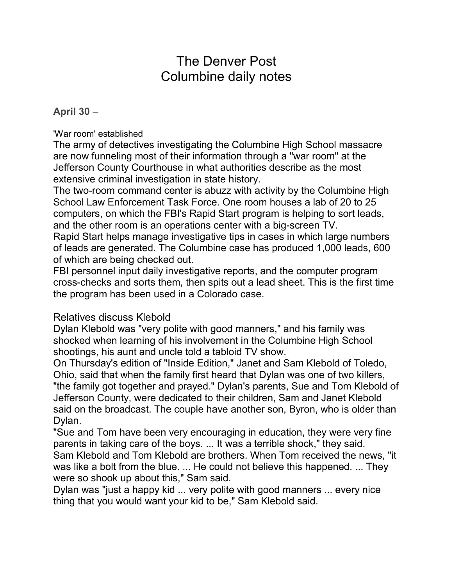# The Denver Post Columbine daily notes

### **April 30** –

'War room' established

The army of detectives investigating the Columbine High School massacre are now funneling most of their information through a "war room" at the Jefferson County Courthouse in what authorities describe as the most extensive criminal investigation in state history.

The two-room command center is abuzz with activity by the Columbine High School Law Enforcement Task Force. One room houses a lab of 20 to 25 computers, on which the FBI's Rapid Start program is helping to sort leads, and the other room is an operations center with a big-screen TV.

Rapid Start helps manage investigative tips in cases in which large numbers of leads are generated. The Columbine case has produced 1,000 leads, 600 of which are being checked out.

FBI personnel input daily investigative reports, and the computer program cross-checks and sorts them, then spits out a lead sheet. This is the first time the program has been used in a Colorado case.

## Relatives discuss Klebold

Dylan Klebold was "very polite with good manners," and his family was shocked when learning of his involvement in the Columbine High School shootings, his aunt and uncle told a tabloid TV show.

On Thursday's edition of "Inside Edition," Janet and Sam Klebold of Toledo, Ohio, said that when the family first heard that Dylan was one of two killers, "the family got together and prayed." Dylan's parents, Sue and Tom Klebold of Jefferson County, were dedicated to their children, Sam and Janet Klebold said on the broadcast. The couple have another son, Byron, who is older than Dylan.

"Sue and Tom have been very encouraging in education, they were very fine parents in taking care of the boys. ... It was a terrible shock," they said. Sam Klebold and Tom Klebold are brothers. When Tom received the news, "it was like a bolt from the blue. ... He could not believe this happened. ... They were so shook up about this," Sam said.

Dylan was "just a happy kid ... very polite with good manners ... every nice thing that you would want your kid to be," Sam Klebold said.